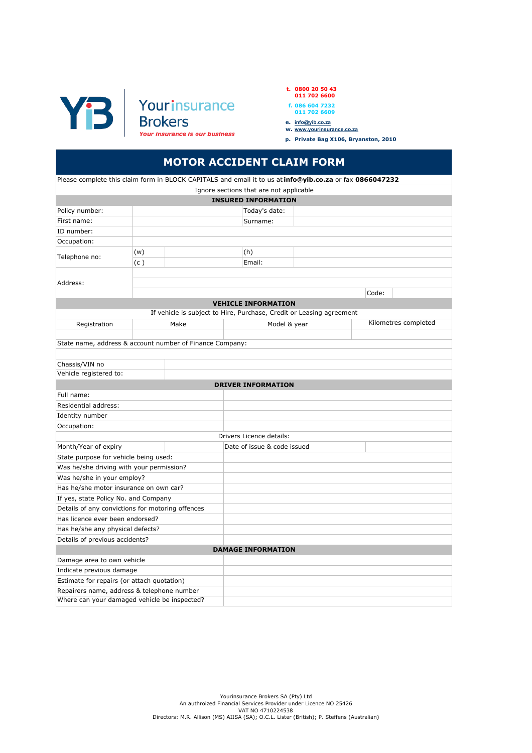

| t. $0800205043$ |  |
|-----------------|--|
| 011 702 6600    |  |

- 
- f. 086 604 7232 011 702 6609
- e. <u>info@yib.co.za</u><br>w. <u>www.yourinsurance.co.za</u>
- 
- p. Private Bag X106, Bryanston, 2010

## MOTOR ACCIDENT CLAIM FORM

| Please complete this claim form in BLOCK CAPITALS and email it to us at info@yib.co.za or fax 0866047232 |     |      |                                         |                                                                      |       |                      |
|----------------------------------------------------------------------------------------------------------|-----|------|-----------------------------------------|----------------------------------------------------------------------|-------|----------------------|
|                                                                                                          |     |      | Ignore sections that are not applicable |                                                                      |       |                      |
|                                                                                                          |     |      | <b>INSURED INFORMATION</b>              |                                                                      |       |                      |
| Policy number:                                                                                           |     |      | Today's date:                           |                                                                      |       |                      |
| First name:                                                                                              |     |      | Surname:                                |                                                                      |       |                      |
| ID number:                                                                                               |     |      |                                         |                                                                      |       |                      |
| Occupation:                                                                                              |     |      |                                         |                                                                      |       |                      |
| Telephone no:                                                                                            | (w) |      | (h)                                     |                                                                      |       |                      |
|                                                                                                          | (c) |      | Email:                                  |                                                                      |       |                      |
|                                                                                                          |     |      |                                         |                                                                      |       |                      |
| Address:                                                                                                 |     |      |                                         |                                                                      |       |                      |
|                                                                                                          |     |      |                                         |                                                                      | Code: |                      |
|                                                                                                          |     |      | <b>VEHICLE INFORMATION</b>              |                                                                      |       |                      |
|                                                                                                          |     |      |                                         | If vehicle is subject to Hire, Purchase, Credit or Leasing agreement |       |                      |
| Registration                                                                                             |     | Make |                                         | Model & year                                                         |       | Kilometres completed |
|                                                                                                          |     |      |                                         |                                                                      |       |                      |
| State name, address & account number of Finance Company:                                                 |     |      |                                         |                                                                      |       |                      |
|                                                                                                          |     |      |                                         |                                                                      |       |                      |
| Chassis/VIN no                                                                                           |     |      |                                         |                                                                      |       |                      |
| Vehicle registered to:                                                                                   |     |      |                                         |                                                                      |       |                      |
|                                                                                                          |     |      | <b>DRIVER INFORMATION</b>               |                                                                      |       |                      |
| Full name:                                                                                               |     |      |                                         |                                                                      |       |                      |
| Residential address:                                                                                     |     |      |                                         |                                                                      |       |                      |
| Identity number                                                                                          |     |      |                                         |                                                                      |       |                      |
| Occupation:                                                                                              |     |      |                                         |                                                                      |       |                      |
|                                                                                                          |     |      | Drivers Licence details:                |                                                                      |       |                      |
| Month/Year of expiry                                                                                     |     |      | Date of issue & code issued             |                                                                      |       |                      |
| State purpose for vehicle being used:                                                                    |     |      |                                         |                                                                      |       |                      |
| Was he/she driving with your permission?                                                                 |     |      |                                         |                                                                      |       |                      |
| Was he/she in your employ?                                                                               |     |      |                                         |                                                                      |       |                      |
| Has he/she motor insurance on own car?                                                                   |     |      |                                         |                                                                      |       |                      |
| If yes, state Policy No. and Company                                                                     |     |      |                                         |                                                                      |       |                      |
| Details of any convictions for motoring offences<br>Has licence ever been endorsed?                      |     |      |                                         |                                                                      |       |                      |
| Has he/she any physical defects?                                                                         |     |      |                                         |                                                                      |       |                      |
| Details of previous accidents?                                                                           |     |      |                                         |                                                                      |       |                      |
|                                                                                                          |     |      | <b>DAMAGE INFORMATION</b>               |                                                                      |       |                      |
| Damage area to own vehicle                                                                               |     |      |                                         |                                                                      |       |                      |
| Indicate previous damage                                                                                 |     |      |                                         |                                                                      |       |                      |
| Estimate for repairs (or attach quotation)                                                               |     |      |                                         |                                                                      |       |                      |
| Repairers name, address & telephone number                                                               |     |      |                                         |                                                                      |       |                      |
| Where can your damaged vehicle be inspected?                                                             |     |      |                                         |                                                                      |       |                      |
|                                                                                                          |     |      |                                         |                                                                      |       |                      |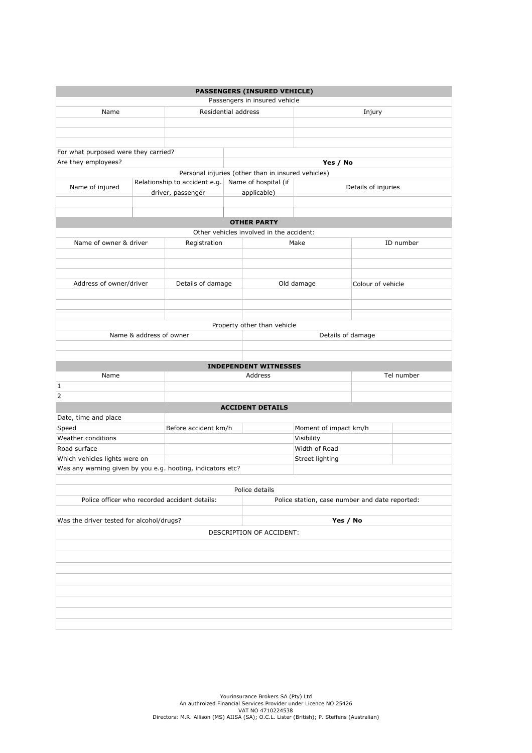| <b>PASSENGERS (INSURED VEHICLE)</b>                  |                                                            |                               |                                                |                                          |                   |                     |            |  |
|------------------------------------------------------|------------------------------------------------------------|-------------------------------|------------------------------------------------|------------------------------------------|-------------------|---------------------|------------|--|
|                                                      |                                                            |                               |                                                | Passengers in insured vehicle            |                   |                     |            |  |
| Name                                                 |                                                            | Residential address           |                                                | Injury                                   |                   |                     |            |  |
|                                                      |                                                            |                               |                                                |                                          |                   |                     |            |  |
|                                                      |                                                            |                               |                                                |                                          |                   |                     |            |  |
|                                                      |                                                            |                               |                                                |                                          |                   |                     |            |  |
| For what purposed were they carried?                 |                                                            |                               |                                                |                                          |                   |                     |            |  |
| Are they employees?                                  |                                                            |                               |                                                |                                          | Yes / No          |                     |            |  |
|                                                      | Personal injuries (other than in insured vehicles)         |                               |                                                |                                          |                   |                     |            |  |
| Name of injured                                      |                                                            | Relationship to accident e.g. |                                                | Name of hospital (if                     |                   | Details of injuries |            |  |
|                                                      |                                                            | driver, passenger             |                                                | applicable)                              |                   |                     |            |  |
|                                                      |                                                            |                               |                                                |                                          |                   |                     |            |  |
|                                                      |                                                            |                               |                                                |                                          |                   |                     |            |  |
|                                                      |                                                            |                               |                                                | <b>OTHER PARTY</b>                       |                   |                     |            |  |
|                                                      |                                                            |                               |                                                | Other vehicles involved in the accident: |                   |                     |            |  |
| Name of owner & driver                               |                                                            | Registration                  |                                                | ID number<br>Make                        |                   |                     |            |  |
|                                                      |                                                            |                               |                                                |                                          |                   |                     |            |  |
|                                                      |                                                            |                               |                                                |                                          |                   |                     |            |  |
|                                                      |                                                            |                               |                                                |                                          |                   |                     |            |  |
| Address of owner/driver                              |                                                            | Details of damage             |                                                |                                          | Old damage        | Colour of vehicle   |            |  |
|                                                      |                                                            |                               |                                                |                                          |                   |                     |            |  |
|                                                      |                                                            |                               |                                                |                                          |                   |                     |            |  |
|                                                      |                                                            |                               |                                                |                                          |                   |                     |            |  |
|                                                      |                                                            |                               |                                                | Property other than vehicle              |                   |                     |            |  |
|                                                      | Name & address of owner                                    |                               |                                                |                                          | Details of damage |                     |            |  |
|                                                      |                                                            |                               |                                                |                                          |                   |                     |            |  |
|                                                      |                                                            |                               |                                                |                                          |                   |                     |            |  |
|                                                      |                                                            |                               |                                                | <b>INDEPENDENT WITNESSES</b>             |                   |                     |            |  |
| Name                                                 |                                                            |                               |                                                | Address                                  |                   |                     | Tel number |  |
| 1                                                    |                                                            |                               |                                                |                                          |                   |                     |            |  |
| $\overline{2}$                                       |                                                            |                               |                                                |                                          |                   |                     |            |  |
|                                                      |                                                            |                               |                                                | <b>ACCIDENT DETAILS</b>                  |                   |                     |            |  |
| Date, time and place                                 |                                                            |                               |                                                |                                          |                   |                     |            |  |
| Speed                                                |                                                            | Before accident km/h          |                                                | Moment of impact km/h                    |                   |                     |            |  |
| Weather conditions                                   |                                                            |                               |                                                | Visibility                               |                   |                     |            |  |
| Road surface                                         |                                                            |                               |                                                | Width of Road                            |                   |                     |            |  |
| Which vehicles lights were on                        |                                                            |                               |                                                | Street lighting                          |                   |                     |            |  |
|                                                      | Was any warning given by you e.g. hooting, indicators etc? |                               |                                                |                                          |                   |                     |            |  |
|                                                      |                                                            |                               |                                                |                                          |                   |                     |            |  |
| Police details                                       |                                                            |                               |                                                |                                          |                   |                     |            |  |
| Police officer who recorded accident details:        |                                                            |                               | Police station, case number and date reported: |                                          |                   |                     |            |  |
|                                                      |                                                            |                               |                                                |                                          |                   |                     |            |  |
| Was the driver tested for alcohol/drugs?<br>Yes / No |                                                            |                               |                                                |                                          |                   |                     |            |  |
| DESCRIPTION OF ACCIDENT:                             |                                                            |                               |                                                |                                          |                   |                     |            |  |
|                                                      |                                                            |                               |                                                |                                          |                   |                     |            |  |
|                                                      |                                                            |                               |                                                |                                          |                   |                     |            |  |
|                                                      |                                                            |                               |                                                |                                          |                   |                     |            |  |
|                                                      |                                                            |                               |                                                |                                          |                   |                     |            |  |
|                                                      |                                                            |                               |                                                |                                          |                   |                     |            |  |
|                                                      |                                                            |                               |                                                |                                          |                   |                     |            |  |
|                                                      |                                                            |                               |                                                |                                          |                   |                     |            |  |
|                                                      |                                                            |                               |                                                |                                          |                   |                     |            |  |
|                                                      |                                                            |                               |                                                |                                          |                   |                     |            |  |